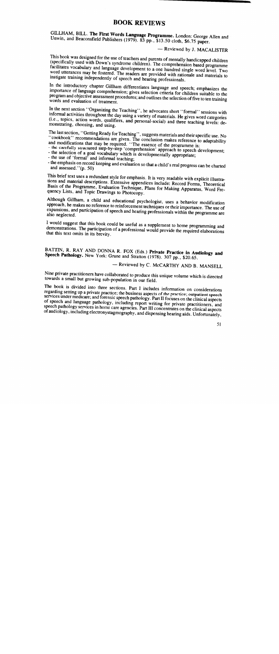## BOOK REVIEWS

GILLHAM, BILL. The First Words Language Programme. London: George Allen and Unwin, and Beaconsfield Publishers (1979). 83 pp., \$13.50 cloth, \$6.75 paper.

## - Reviewed by J. MACALISTER

This book was designed for the use of teachers and parents of mentally handicapped children (specifically used with Down's syndrome children). The comprehension based programme facilitates vocabulary and language development to a one hundred single word level. Two word utterances may be fostered. The readers are provided with rationale and materials to instigate training independently of speech and hearing professionals.

In the introductory chapter Gillham differentiates language and speech; emphasizes the importance of language comprehension; gives selection criteria for children suitable to the program and objective assessment procedures; and outlines the selection offive to ten training words and evaluation of treatment.

In the next section "Organizing the Teaching", he advocates short "formal" sessions with informal activities throughout the day using a variety of materials. He gives word categories (i.e., topics, action words, qualifiers, and personal-social) and three teaching levels: demonstrating, choosing, and using.

The last section, "Getting Ready for Teaching", suggests materials and their specific use. No "cookbook" recommendations are given. The conclusion makes reference to adaptability and modifications that may be required. "The essence of the programme is:

- the carefully structured step-by-step 'comprehension' approach to speech development;
- the selection of a goal vocabulary which is developmentally appropriate;
- the use of 'formal' and informal teaching;
- the emphasis on record keeping and evaluation so that a child's real progress can be charted and assessed." $(p, 50)$

This brief text uses a redundant style for emphasis. It is very readable with explicit illustrations and material descriptions. Extensive appendices include: Record Forms, Theoretical Basis of the Programme, Evaluation Technique, Plans for Making Apparatus, Word Frequency Lists, and Topic Drawings to Photocopy.

Although Gillham, a child and educational psychologist, uses a behavior modification approach, he makes no reference to reinforcement techniques or their importance. The use of expansions, and participation of speech and hearing professionals within the programme are also neglected.

I would suggest that this book could be useful as a supplement to home programming and demonstrations. The participation of a professional would provide the required elaborations that this text omits in its brevity.

BATTIN, R. RAY AND DONNA R. FOX (Eds.) Private Practice in Audiology and Speech Pathology. New York: Grune and Stratton (1978). 307 pp., \$20.65.

— Reviewed by C. McCARTHY AND B. MANSELL.

Nine private practitioners have collaborated to produce this unique volume which is directed towards a small but growing sub-population in our field.

The book is divided into three sections. Part I includes information on considerations regarding setting up a private practice; the business aspects of the practice; outpatient speech services under medicare; and forensic speech pathology. Part Il focuses on the clinical aspects of speech and language pathology, including report writing for private practitioners, and speech pathology services in home care agencies. Part III concentrates on the clinical aspects of audiology, including electronystagmography, and dispensing hearing aids. Unfortunately,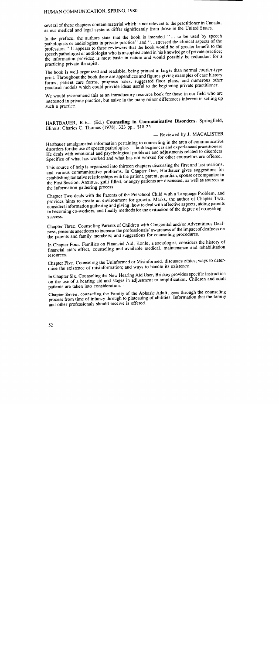several of these chapters contain material which is not relevant to the practitioner in Canada. as our medical and legal systems differ significantly from those in the United States.

In the preface, the authors state that the book is intended "... to be used by speech pathologists or audiologists in private practice" and "...stressed the clinical aspects of the profession." It appears to these reviewers that the book would be of greater benefit to the speech pathologist or audiologist who is unsophisticated in his knowledge of private practice; the information provided is most basic in nature and would possibly be redundant for a practicing private therapist.

The book is well-organized and readable, being printed in larger than normal courier-type print. Throughout the book there are appendices and figures giving examples of case history forms, patient care forms, progress notes, suggested floor plans, and numerous other practical models which could provide ideas useful to the beginning private practitioner.

We would recommend this as an introductory resource book for those in our field who are interested in private practice, but naive in the many minor differences inherent in setting up such a practice.

HARTBAUER, R.E., (Ed.) Counseling **in** Communicative Disorders. Springfield, lllinois: Charles C. Thomas (1978).323 pp., \$18.25.

## — Reviewed by J. MACALISTER

Hartbauer amalgamated information pertaining to counseling in the area of communicative disorders for the use of speech pathologists - both beginners and experienced practitioners. He deals with emotional and psychological problems and adjustments related to disorders. Specifics of what has worked and what has not worked for other counselors are offered.

This source of help is organized into thirteen chapters discussing the first and last sessions, and various communicative problems. In Chapter One, Hartbauer gives suggestions for establishing tentative relationships with the patient, parent, guardian, spouse or companion in the First Session. Anxious, guilt-filled, or angry patients are discussed, as well as sources in the information gathering process.

Chapter Two deals with the Parents of the Preschool Child with a Language Problem, and provides hints to create an environment for growth. Marks, the author of Chapter Two, considers information gathering and giving, how to deal with affective aspects, aiding parents in becoming co-workers, and finally methods for the evauation of the degree of coonseling success.

Chapter Three, Counseling Parents of Children with Congenital and/or Adventitious Deafness, presents anecdotes to increase the professionals' awareness of the impact of deafness on the parents and family members; and suggestions for counseling procedures.

In Chapter Four, Families on Financial Aid, Konle, a sociologist, considers the history of financial aid's effect, counseling and available medical, maintenance and rehabilitation resources.

Chapter Five, Counseling the Uninformed or Misinformed, discusses ethics; ways to determine the existence of misinformation; and ways to handle its existence.

In Chapter Six, Counseling the New Hearing Aid User, Briskey provides specific instruction on the use of a hearing aid and stages in adjustment to amplification. Children and adult patients are taken into consideration.

Chapter Seven, counseling the Family of the Aphasic Adult, goes through the counseling process from time of infancy through to plateauing of abilities. Information that the family and other professionals should receive is offered.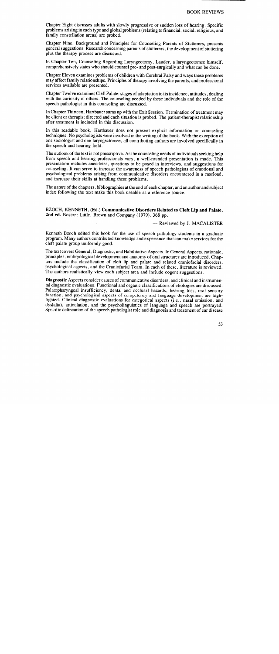Chapter Eight discusses adults with slowly progressive or sudden loss of hearing. Specific problems arising in each type and global problems (relating to financial, social, religious, and family constellation areas) are probed.

Chapter Nine, Background and Principles for Counseling Parents of Stutterers, presents general suggestions. Research concerning parents of stutterers, the development of stuttering plus the therapy process are discussed.

In Chapter Ten, Counseling Regarding Laryngectomy, Lauder, a laryngectomee himself, comprehensively states who should counsel pre- and post-surgically and what can be done.

Chapter Eleven examines problems of children with Cerebral Palsy and ways these problems may affect family relationships. Principles of therapy involving the parents, and professional services available are presented.

Chapter Twelve examines Cleft Palate: stages of adaptation to its incidence, attitudes, dealing with the curiosity of others. The counseling needed by these individuals and the role of the speech pathologist in this counseling are discussed.

In Chapter Thirteen, Hartbauer sums up with the Exit Session. Termination of treatment may be client or therapist directed and each situation is probed. The patient-therapist relationship after treatment is included in this discussion.

In this readable book, Hartbauer does not present explicit information on counseling techniques. No psychologists were involved in the writing of the book. With the exception of one sociologist and one laryngectomee, all contributing authors are involved specifically in the speech and hearing field.

The outlook of the text is not prescriptive. As the counseling needs of individuals seeking help from speech and hearing professionals vary, a well-rounded presentation is made. This presentation includes anecdotes, questions to be posed in interviews, and suggestions for counseling. It can serve to increase the awareness of speech pathologists of emotional and psychological problems arising from communicative disorders encountered in a caseload, and increase their skills at handling these problems.

The nature of the chapters, bibliographies at the end of each chapter, and an author and subject index following the text make this book useable as a reference source.

BZOCH, KENNETH, (Ed.) Communicative Disorders Related to Cleft **Lip and** Palate. **2nd** ed. Boston: Little, Brown and Company (1979). 368 pp.

- Reviewed by J. MACALISTER

Kenneth Bzoch edited this book for the use of speech pathology students in a graduate program. Many authors contributed knowledge and experience that can make services for the cleft palate group uniformly good.

The text covers General, Diagnostic, and Habilitative Aspects. In General Aspects, rationale, principles, embryological development and anatomy of oral structures are introduced. Chapters include the classification of cleft lip and palate and related craniofacial disorders, psychological aspects, and the Craniofacial Team. In each of these, literature is reviewed. The authors realistically view each subject area and include cogent suggestions.

Diagnostic Aspects consider causes of communicative disorders, and clinical and instrumental diagnostic evaluations. Functional and organic classifications of etiologies are discussed. Palatopharyngeal insufficiency, dental and occlusal hazards, hearing loss, oral sensory function, and psychological aspects of competency and language development are highlighted. Clinical diagnostic evaluations for categorical aspects (i.e., nasal emission, and dyslalia), articulation, and the psycholinguistics of language and speech are portrayed. Specific delineation of the speech pathologist role and diagnosis and treatment of ear disease